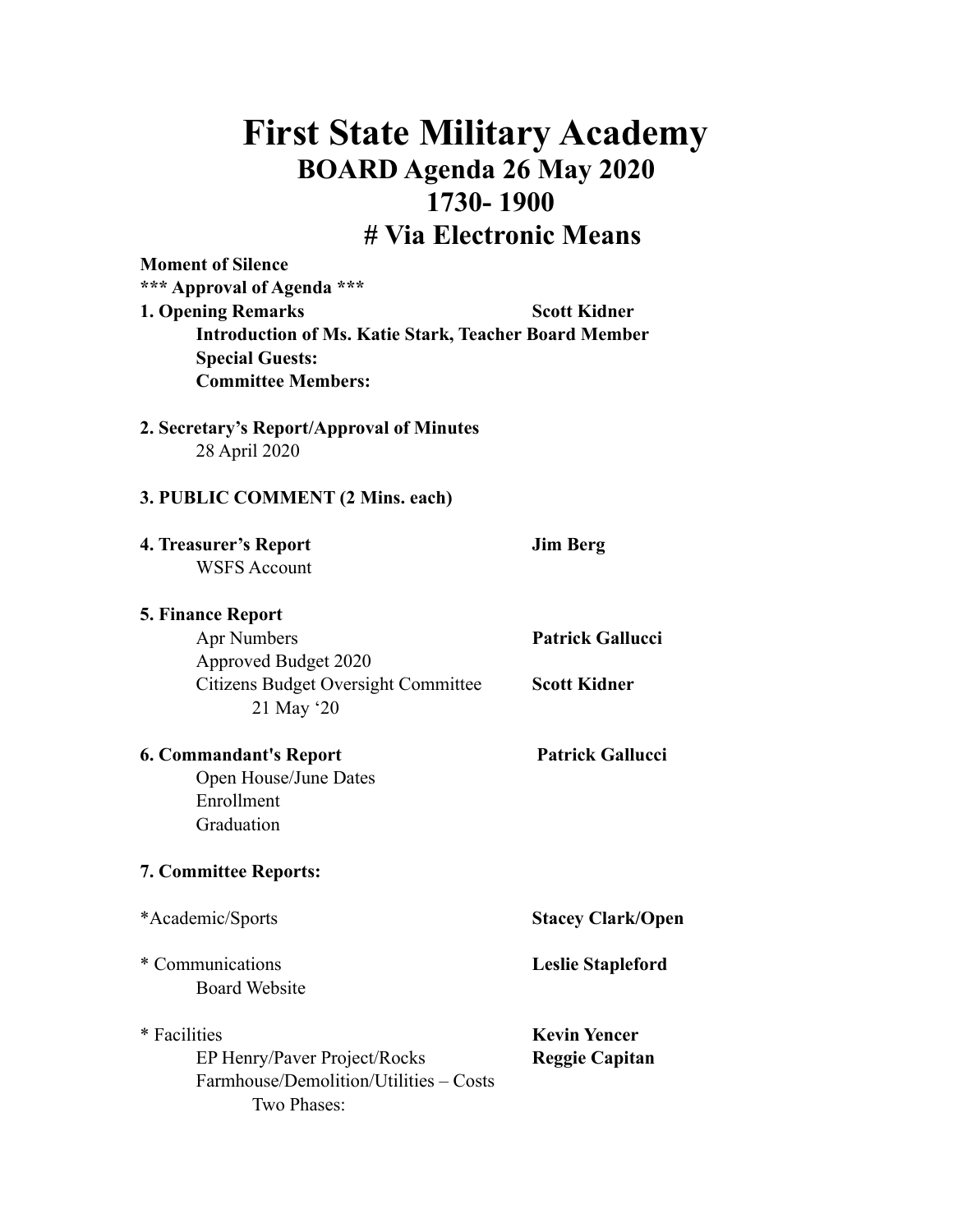## **First State Military Academy BOARD Agenda 26 May 2020 1730- 1900 # Via Electronic Means**

| <b>Moment of Silence</b><br>*** Approval of Agenda ***<br><b>1. Opening Remarks</b><br><b>Introduction of Ms. Katie Stark, Teacher Board Member</b><br><b>Special Guests:</b><br><b>Committee Members:</b> | <b>Scott Kidner</b>                            |
|------------------------------------------------------------------------------------------------------------------------------------------------------------------------------------------------------------|------------------------------------------------|
| 2. Secretary's Report/Approval of Minutes<br>28 April 2020                                                                                                                                                 |                                                |
| 3. PUBLIC COMMENT (2 Mins. each)                                                                                                                                                                           |                                                |
| 4. Treasurer's Report<br><b>WSFS Account</b>                                                                                                                                                               | <b>Jim Berg</b>                                |
| <b>5. Finance Report</b><br><b>Apr Numbers</b><br>Approved Budget 2020<br><b>Citizens Budget Oversight Committee</b><br>21 May '20                                                                         | <b>Patrick Gallucci</b><br><b>Scott Kidner</b> |
| <b>6. Commandant's Report</b><br>Open House/June Dates<br>Enrollment<br>Graduation                                                                                                                         | <b>Patrick Gallucci</b>                        |
| <b>7. Committee Reports:</b>                                                                                                                                                                               |                                                |
| *Academic/Sports                                                                                                                                                                                           | <b>Stacey Clark/Open</b>                       |
| * Communications<br><b>Board Website</b>                                                                                                                                                                   | <b>Leslie Stapleford</b>                       |
| * Facilities<br>EP Henry/Paver Project/Rocks<br>Farmhouse/Demolition/Utilities – Costs<br>Two Phases:                                                                                                      | <b>Kevin Yencer</b><br><b>Reggie Capitan</b>   |